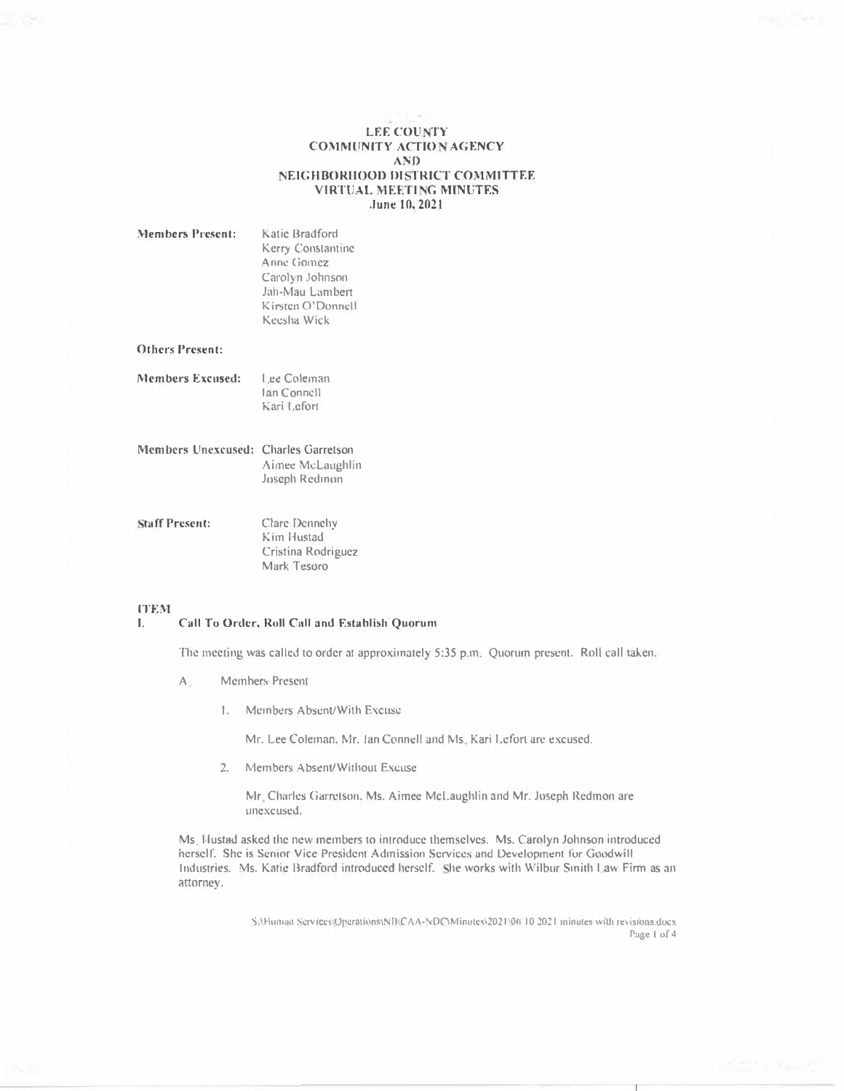# **LEE COUNTY COMMUNITY ACTION AGENCY AND** NEIGHBORHOOD DISTRICT COMMITTEE **VIRTUAL MEETING MINUTES** June 10, 2021

| <b>Members Present:</b>                     | Katic Bradford<br>Kerry Constantine<br>Anne Gomez<br>Carolyn Johnson<br>Jah-Mau Lambert<br>Kirsten O'Donnell<br>Keesha Wick |
|---------------------------------------------|-----------------------------------------------------------------------------------------------------------------------------|
| <b>Others Present:</b>                      |                                                                                                                             |
| Members Excused:                            | Lee Coleman<br>Ian Connell<br>Kari Lefort                                                                                   |
| <b>Members Unexcused: Charles Garretson</b> | Aimee McLaughlin<br>Joseph Redinon                                                                                          |
| <b>Staff Present:</b>                       | Clare Dennehy<br>Kim Hustad<br>Cristina Rodriguez                                                                           |

## **ITEM**

### Call To Order, Roll Call and Establish Quorum  $\mathbf{L}$

Mark Tesoro

The meeting was called to order at approximately 5:35 p.m. Quorum present. Roll call taken.

- Members Present  $A_{-}$ 
	- 1. Members Absent/With Excuse

Mr. Lee Coleman, Mr. Ian Connell and Ms. Kari Lefort are excused.

2. Members Absent/Without Excuse

Mr. Charles Garretson, Ms. Aimee McLaughlin and Mr. Joseph Redmon are unexcused.

Ms. Hustad asked the new members to introduce themselves. Ms. Carolyn Johnson introduced herself. She is Senior Vice President Admission Services and Development for Goodwill Industries. Ms. Katie Bradford introduced herself. She works with Wilbur Smith Law Firm as an attorney.

> S:\Human Services\Operations\NB\CAA-NDC\Minutes\2021\06 10 2021 minutes with revisions.docx Page 1 of 4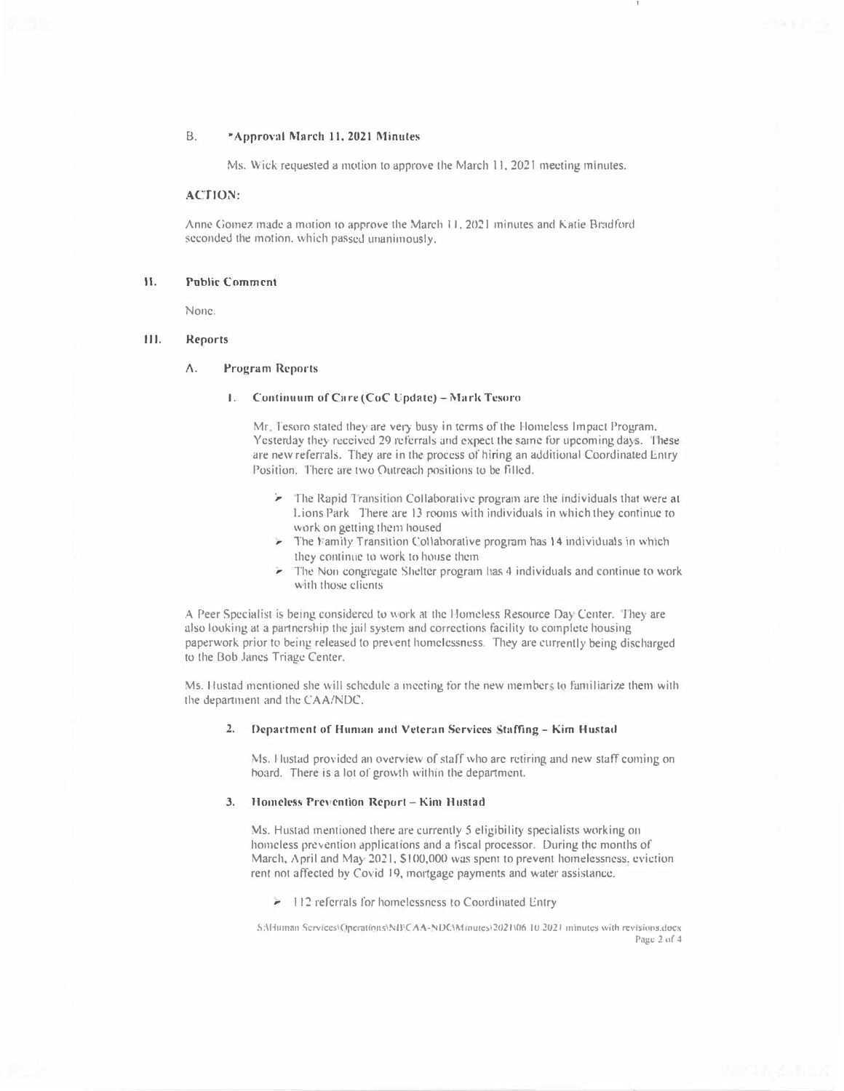### $B.$ \*Approval March 11, 2021 Minutes

Ms. Wick requested a motion to approve the March 11, 2021 meeting minutes.

# **ACTION:**

Anne Gomez made a motion to approve the March 11, 2021 minutes and Katie Bradford seconded the motion, which passed unanimously.

### **Public Comment** 11

None.

### 111. Reports

#### Λ. **Program Reports**

# 1. Continuum of Care (CoC Update) - Mark Tesoro

Mr. Tesoro stated they are very busy in terms of the Homeless Impact Program. Yesterday they received 29 referrals and expect the same for upcoming days. These are new referrals. They are in the process of hiring an additional Coordinated Entry Position. There are two Outreach positions to be filled.

- > The Rapid Transition Collaborative program are the individuals that were at Lions Park There are 13 rooms with individuals in which they continue to work on getting them housed
- The Family Transition Collaborative program has 14 individuals in which they continue to work to house them
- The Non congregate Shelter program has 4 individuals and continue to work with those clients

A Peer Specialist is being considered to work at the Homeless Resource Day Center. They are also looking at a partnership the jail system and corrections facility to complete housing paperwork prior to being released to prevent homelessness. They are currently being discharged to the Bob Janes Triage Center.

Ms. Hustad mentioned she will schedule a meeting for the new members to familiarize them with the department and the CAA/NDC.

## 2. Department of Human and Veteran Services Staffing - Kim Hustad

Ms. Hustad provided an overview of staff who are retiring and new staff coming on board. There is a lot of growth within the department.

### Homeless Prevention Report - Kim Hustad 3.

Ms. Hustad mentioned there are currently 5 eligibility specialists working on homeless prevention applications and a fiscal processor. During the months of March, April and May 2021, \$100,000 was spent to prevent homelessness, eviction rent not affected by Covid 19, mortgage payments and water assistance.

> 112 referrals for homelessness to Coordinated Entry

SAHuman Services(Operations\NB)CAA-NDC\Minutes\2021\06 10 2021 minutes with revisions.docx Page 2 of 4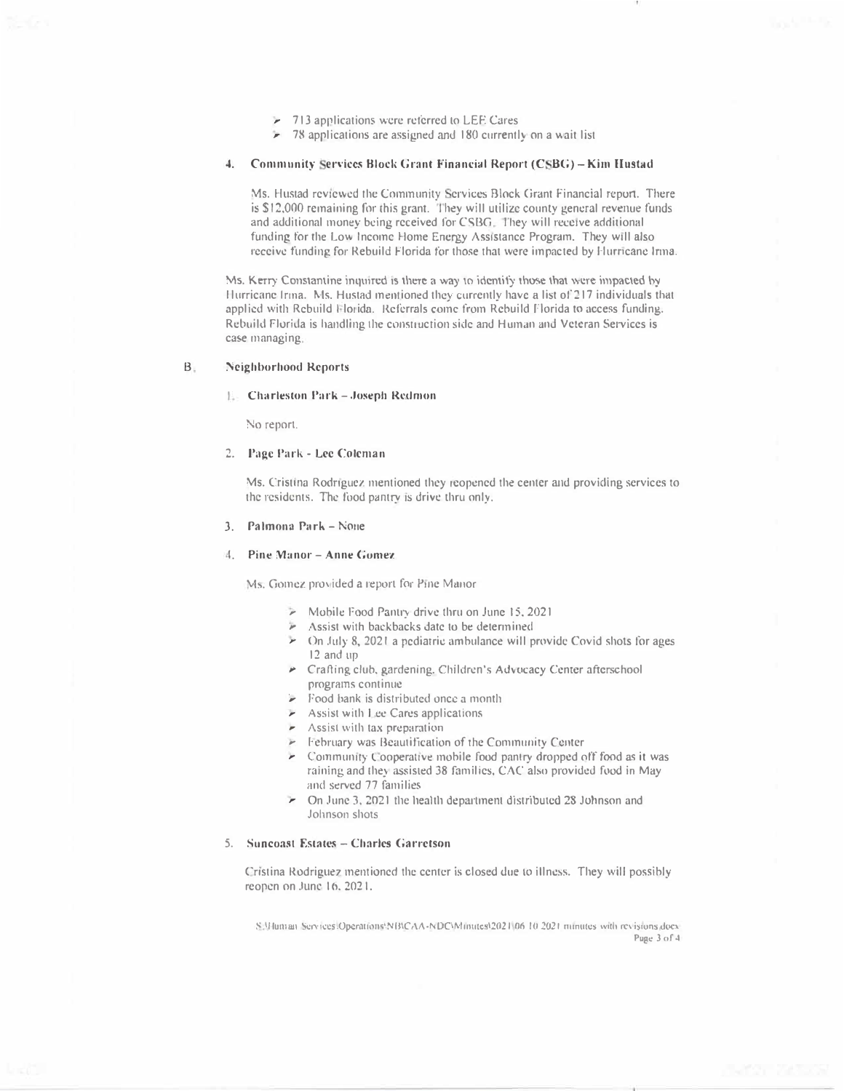- 713 applications were referred to LEE Cares
- $\geq$  78 applications are assigned and 180 currently on a wait list

# 4. Community Services Block Grant Financial Report (CSBG) - Kim Hustad

Ms. Hustad reviewed the Community Services Block Grant Financial report. There is \$12,000 remaining for this grant. They will utilize county general revenue funds and additional money being received for CSBG. They will receive additional funding for the Low Income Home Energy Assistance Program. They will also receive funding for Rebuild Florida for those that were impacted by Hurricane Irma.

Ms. Kerry Constantine inquired is there a way to identify those that were impacted by Hurricane Irma. Ms. Hustad mentioned they currently have a list of 217 individuals that applied with Rebuild Florida. Referrals come from Rebuild Florida to access funding. Rebuild Florida is handling the construction side and Human and Veteran Services is case managing.

#### $B.$ **Neighborhood Reports**

## **L.** Charleston Park - Joseph Redmon

No report.

# 2. Page Park - Lee Coleman

Ms. Cristina Rodriguez mentioned they reopened the center and providing services to the residents. The food pantry is drive thru only.

## 3. Palmona Park - None

## 4. Pine Manor - Anne Gomez

Ms. Gomez provided a report for Pine Manor

- > Mobile Food Pantry drive thru on June 15, 2021
- > Assist with backbacks date to be determined
- > On July 8, 2021 a pediatric ambulance will provide Covid shots for ages 12 and up
- Crafting club, gardening, Children's Advocacy Center afterschool programs continue
- > Food bank is distributed once a month
- Assist with Lee Cares applications
- $\blacktriangleright$  Assist with tax preparation
- February was Beautification of the Community Center
- Community Cooperative mobile food pantry dropped off food as it was raining and they assisted 38 families, CAC also provided food in May and served 77 families
- > On June 3, 2021 the health department distributed 28 Johnson and Johnson shots

# 5. Suncoast Estates - Charles Garretson

Cristina Rodriguez mentioned the center is closed due to illness. They will possibly reopen on June 16, 2021.

S. Whiman Services.Operations:NBICAA-NDCWinutes(2021 06 10 2021 minutes with revisions docx Puge 3 of 4